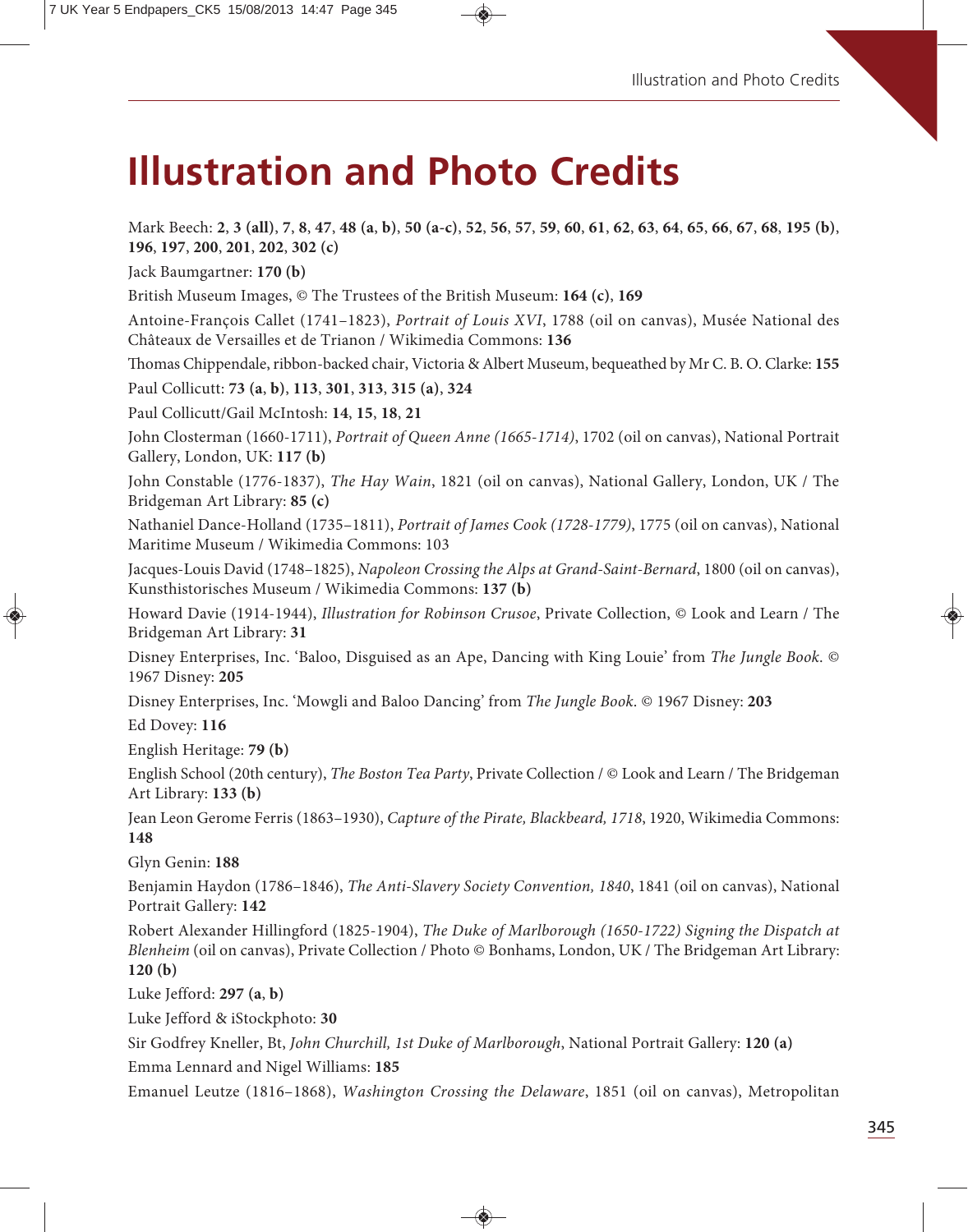# **Illustration and Photo Credits**

Mark Beech: 2, 3 (all), 7, 8, 47, 48 (a, b), 50 (a-c), 52, 56, 57, 59, 60, 61, 62, 63, 64, 65, 66, 67, 68, 195 (b), **196**, **197**, **200**, **201**, **202**, **302 (c)** Jack Baumgartner: **170 (b)** British Museum Images, © The Trustees of the British Museum: **164 (c)**, **169** Antoine-François Callet (1741–1823), *Portrait of Louis XVI*, 1788 (oil on canvas), Musée National des Châteaux de Versailles et de Trianon / Wikimedia Commons: **136** omas Chippendale, ribbon-backed chair, Victoria & Albert Museum, bequeathed by Mr C. B. O. Clarke: **155** Paul Collicutt: **73 (a**, **b)**, **113**, **301**, **313**, **315 (a)**, **324** Paul Collicutt/Gail McIntosh: **14**, **15**, **18**, **21** John Closterman (1660-1711), *Portrait of Queen Anne (1665-1714)*, 1702 (oil on canvas), National Portrait Gallery, London, UK: **117 (b)** John Constable (1776-1837), *The Hay Wain*, 1821 (oil on canvas), National Gallery, London, UK / The Bridgeman Art Library: **85 (c)** Nathaniel Dance-Holland (1735–1811), *Portrait of James Cook (1728-1779)*, 1775 (oil on canvas), National Maritime Museum / Wikimedia Commons: 103 Jacques-Louis David (1748–1825), *Napoleon Crossing the Alps at Grand-Saint-Bernard*, 1800 (oil on canvas), Kunsthistorisches Museum / Wikimedia Commons: **137 (b)** Howard Davie (1914-1944), *Illustration for Robinson Crusoe*, Private Collection, © Look and Learn / The Bridgeman Art Library: **31** Disney Enterprises, Inc. 'Baloo, Disguised as an Ape, Dancing with King Louie' from *The Jungle Book*. © 1967 Disney: **205** Disney Enterprises, Inc. 'Mowgli and Baloo Dancing' from *The Jungle Book*. © 1967 Disney: **203** Ed Dovey: **116** English Heritage: **79 (b)** English School (20th century), *The Boston Tea Party*, Private Collection / © Look and Learn / The Bridgeman Art Library: **133 (b)** Jean Leon Gerome Ferris (1863–1930), *Capture of the Pirate, Blackbeard, 1718*, 1920, Wikimedia Commons: **148** Glyn Genin: **188** Benjamin Haydon (1786–1846), *The Anti-Slavery Society Convention, 1840*, 1841 (oil on canvas), National Portrait Gallery: **142** Robert Alexander Hillingford (1825-1904), *The Duke of Marlborough (1650-1722) Signing the Dispatch at Blenheim* (oil on canvas), Private Collection / Photo © Bonhams, London, UK / The Bridgeman Art Library: **120 (b)** Luke Jefford: **297 (a**, **b)** Luke Jefford & iStockphoto: **30** Sir Godfrey Kneller, Bt, *John Churchill, 1st Duke of Marlborough*, National Portrait Gallery: **120 (a)** Emma Lennard and Nigel Williams: **185** Emanuel Leutze (1816–1868), *Washington Crossing the Delaware*, 1851 (oil on canvas), Metropolitan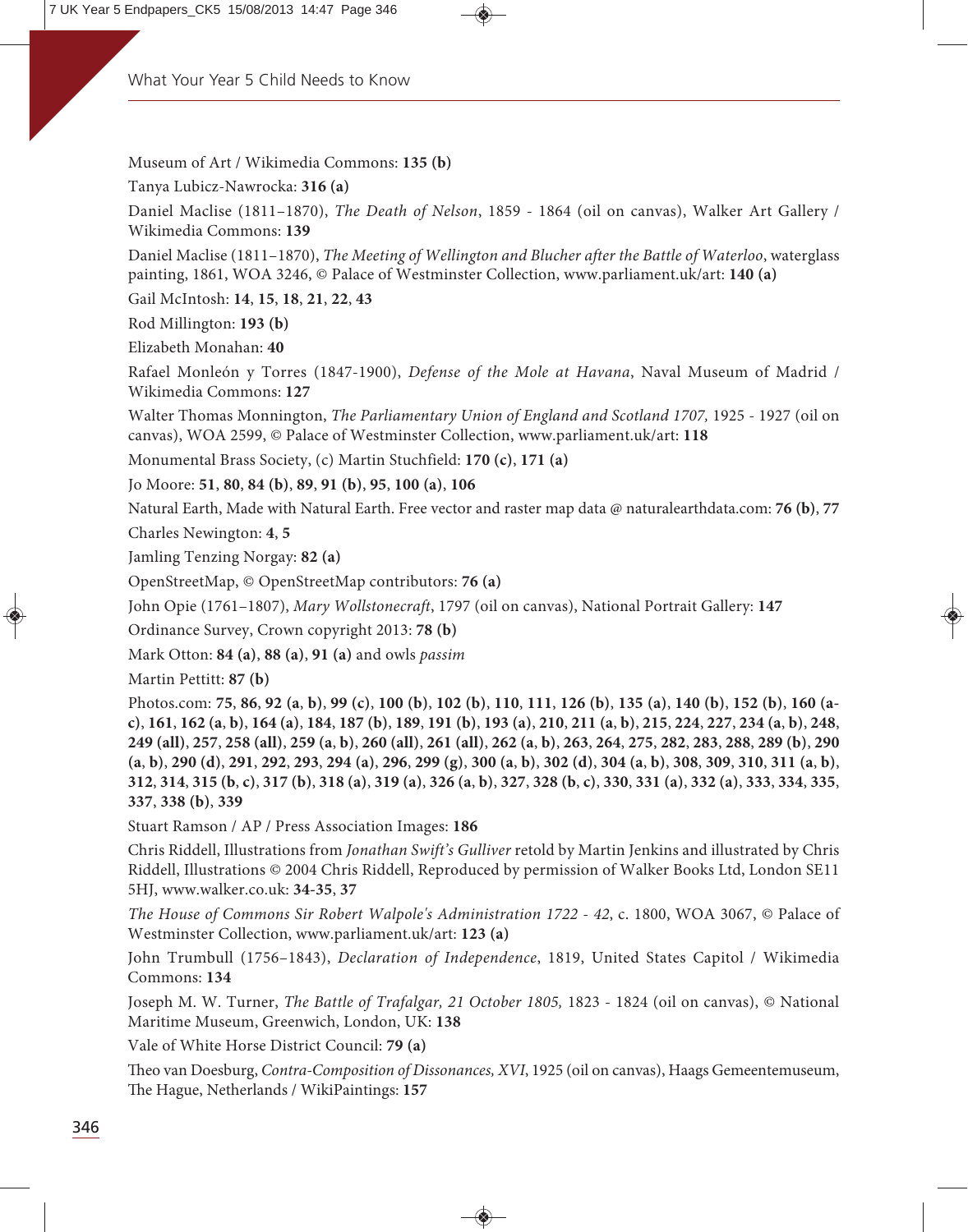Museum of Art / Wikimedia Commons: **135 (b)**

Tanya Lubicz-Nawrocka: **316 (a)**

Daniel Maclise (1811–1870), *The Death of Nelson*, 1859 - 1864 (oil on canvas), Walker Art Gallery / Wikimedia Commons: **139**

Daniel Maclise (1811–1870), *The Meeting of Wellington and Blucher after the Battle of Waterloo*, waterglass painting, 1861, WOA 3246, © Palace of Westminster Collection, www.parliament.uk/art: **140 (a)**

Gail McIntosh: **14**, **15**, **18**, **21**, **22**, **43**

Rod Millington: **193 (b)**

Elizabeth Monahan: **40**

Rafael Monleón y Torres (1847-1900), *Defense of the Mole at Havana*, Naval Museum of Madrid / Wikimedia Commons: **127**

Walter Thomas Monnington, *The Parliamentary Union of England and Scotland 1707,* 1925 - 1927 (oil on canvas), WOA 2599, © Palace of Westminster Collection, www.parliament.uk/art: **118**

Monumental Brass Society, (c) Martin Stuchfield: **170 (c)**, **171 (a)**

Jo Moore: **51**, **80**, **84 (b)**, **89**, **91 (b)**, **95**, **100 (a)**, **106**

Natural Earth, Made with Natural Earth. Free vector and raster map data @ naturalearthdata.com: **76 (b)**, **77**

Charles Newington: **4**, **5**

Jamling Tenzing Norgay: **82 (a)**

OpenStreetMap, © OpenStreetMap contributors: **76 (a)**

John Opie (1761–1807), *Mary Wollstonecraft*, 1797 (oil on canvas), National Portrait Gallery: **147**

Ordinance Survey, Crown copyright 2013: **78 (b)**

Mark Otton: **84 (a)**, **88 (a)**, **91 (a)** and owls *passim*

Martin Pettitt: **87 (b)**

Photos.com: **75**, **86**, **92 (a**, **b)**, **99 (c)**, **100 (b)**, **102 (b)**, **110**, **111**, **126 (b)**, **135 (a)**, **140 (b)**, **152 (b)**, **160 (a**c), 161, 162 (a, b), 164 (a), 184, 187 (b), 189, 191 (b), 193 (a), 210, 211 (a, b), 215, 224, 227, 234 (a, b), 248, 249 (all), 257, 258 (all), 259 (a, b), 260 (all), 261 (all), 262 (a, b), 263, 264, 275, 282, 283, 288, 289 (b), 290  $(a, b)$ , 290 (d), 291, 292, 293, 294 (a), 296, 299 (g), 300 (a, b), 302 (d), 304 (a, b), 308, 309, 310, 311 (a, b), 312, 314, 315 (b, c), 317 (b), 318 (a), 319 (a), 326 (a, b), 327, 328 (b, c), 330, 331 (a), 332 (a), 333, 334, 335, **337**, **338 (b)**, **339**

Stuart Ramson / AP / Press Association Images: **186**

Chris Riddell, Illustrations from *Jonathan Swift's Gulliver* retold by Martin Jenkins and illustrated by Chris Riddell, Illustrations © 2004 Chris Riddell, Reproduced by permission of Walker Books Ltd, London SE11 5HJ, www.walker.co.uk: **34-35**, **37**

*The House of Commons Sir Robert Walpole's Administration 1722 - 42*, c. 1800, WOA 3067, © Palace of Westminster Collection, www.parliament.uk/art: **123 (a)**

John Trumbull (1756–1843), *Declaration of Independence*, 1819, United States Capitol / Wikimedia Commons: **134**

Joseph M. W. Turner, *The Battle of Trafalgar, 21 October 1805,* 1823 - 1824 (oil on canvas), © National Maritime Museum, Greenwich, London, UK: **138**

Vale of White Horse District Council: **79 (a)**

eo van Doesburg, *Contra-Composition of Dissonances, XVI*, 1925 (oil on canvas), Haags Gemeentemuseum, e Hague, Netherlands / WikiPaintings: **157**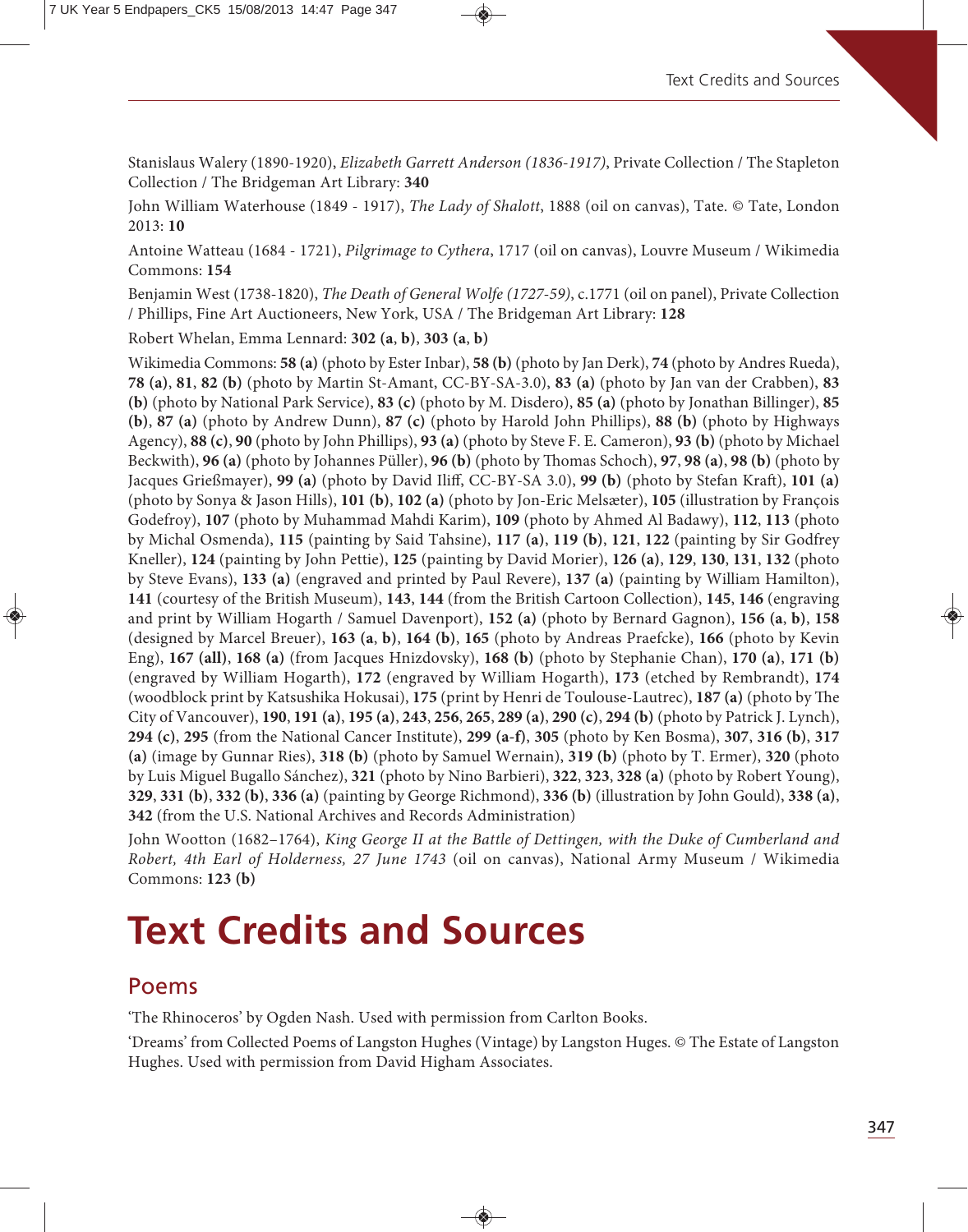Stanislaus Walery (1890-1920), *Elizabeth Garrett Anderson (1836-1917)*, Private Collection / The Stapleton Collection / The Bridgeman Art Library: **340**

John William Waterhouse (1849 - 1917), *The Lady of Shalott*, 1888 (oil on canvas), Tate. © Tate, London 2013: **10**

Antoine Watteau (1684 - 1721), *Pilgrimage to Cythera*, 1717 (oil on canvas), Louvre Museum / Wikimedia Commons: **154**

Benjamin West (1738-1820), *The Death of General Wolfe (1727-59)*, c.1771 (oil on panel), Private Collection / Phillips, Fine Art Auctioneers, New York, USA / The Bridgeman Art Library: **128**

Robert Whelan, Emma Lennard: **302 (a**, **b)**, **303 (a**, **b)**

Wikimedia Commons: **58 (a)** (photo by Ester Inbar), **58 (b)** (photo by Jan Derk), **74** (photo by Andres Rueda), **78 (a)**, **81**, **82 (b)** (photo by Martin St-Amant, CC-BY-SA-3.0), **83 (a)** (photo by Jan van der Crabben), **83 (b)** (photo by National Park Service), **83 (c)** (photo by M. Disdero), **85 (a)** (photo by Jonathan Billinger), **85 (b)**, **87 (a)** (photo by Andrew Dunn), **87 (c)** (photo by Harold John Phillips), **88 (b)** (photo by Highways Agency), **88 (c)**, **90** (photo by John Phillips), **93 (a)** (photo by Steve F. E. Cameron), **93 (b)** (photo by Michael Beckwith), **96 (a)** (photo by Johannes Püller), **96 (b)** (photo by Thomas Schoch), **97**, **98 (a)**, **98 (b)** (photo by Jacques Grießmayer), **99 (a)** (photo by David Iliff, CC-BY-SA 3.0), **99 (b)** (photo by Stefan Kraft), **101 (a)** (photo by Sonya & Jason Hills), **101 (b)**, **102 (a)** (photo by Jon-Eric Melsæter), **105** (illustration by François Godefroy), **107** (photo by Muhammad Mahdi Karim), **109** (photo by Ahmed Al Badawy), **112**, **113** (photo by Michal Osmenda), **115** (painting by Said Tahsine), **117 (a)**, **119 (b)**, **121**, **122** (painting by Sir Godfrey Kneller), **124** (painting by John Pettie), **125** (painting by David Morier), **126 (a)**, **129**, **130**, **131**, **132** (photo by Steve Evans), **133 (a)** (engraved and printed by Paul Revere), **137 (a)** (painting by William Hamilton), **141** (courtesy of the British Museum), **143**, **144** (from the British Cartoon Collection), **145**, **146** (engraving and print by William Hogarth / Samuel Davenport), **152 (a)** (photo by Bernard Gagnon), **156 (a**, **b)**, **158** (designed by Marcel Breuer), **163 (a**, **b)**, **164 (b)**, **165** (photo by Andreas Praefcke), **166** (photo by Kevin Eng), **167 (all)**, **168 (a)** (from Jacques Hnizdovsky), **168 (b)** (photo by Stephanie Chan), **170 (a)**, **171 (b)** (engraved by William Hogarth), **172** (engraved by William Hogarth), **173** (etched by Rembrandt), **174** (woodblock print by Katsushika Hokusai), 175 (print by Henri de Toulouse-Lautrec), 187 (a) (photo by The City of Vancouver), **190**, **191 (a)**, **195 (a)**, **243**, **256**, **265**, **289 (a)**, **290 (c)**, **294 (b)** (photo by Patrick J. Lynch), **294 (c)**, **295** (from the National Cancer Institute), **299 (a-f)**, **305** (photo by Ken Bosma), **307**, **316 (b)**, **317 (a)** (image by Gunnar Ries), **318 (b)** (photo by Samuel Wernain), **319 (b)** (photo by T. Ermer), **320** (photo by Luis Miguel Bugallo Sánchez), **321** (photo by Nino Barbieri), **322**, **323**, **328 (a)** (photo by Robert Young), **329**, **331 (b)**, **332 (b)**, **336 (a)** (painting by George Richmond), **336 (b)** (illustration by John Gould), **338 (a)**, **342** (from the U.S. National Archives and Records Administration)

John Wootton (1682–1764), *King George II at the Battle of Dettingen, with the Duke of Cumberland and Robert, 4th Earl of Holderness, 27 June 1743* (oil on canvas), National Army Museum / Wikimedia Commons: **123 (b)**

# **Text Credits and Sources**

### Poems

'The Rhinoceros' by Ogden Nash. Used with permission from Carlton Books.

'Dreams' from Collected Poems of Langston Hughes (Vintage) by Langston Huges. © The Estate of Langston Hughes. Used with permission from David Higham Associates.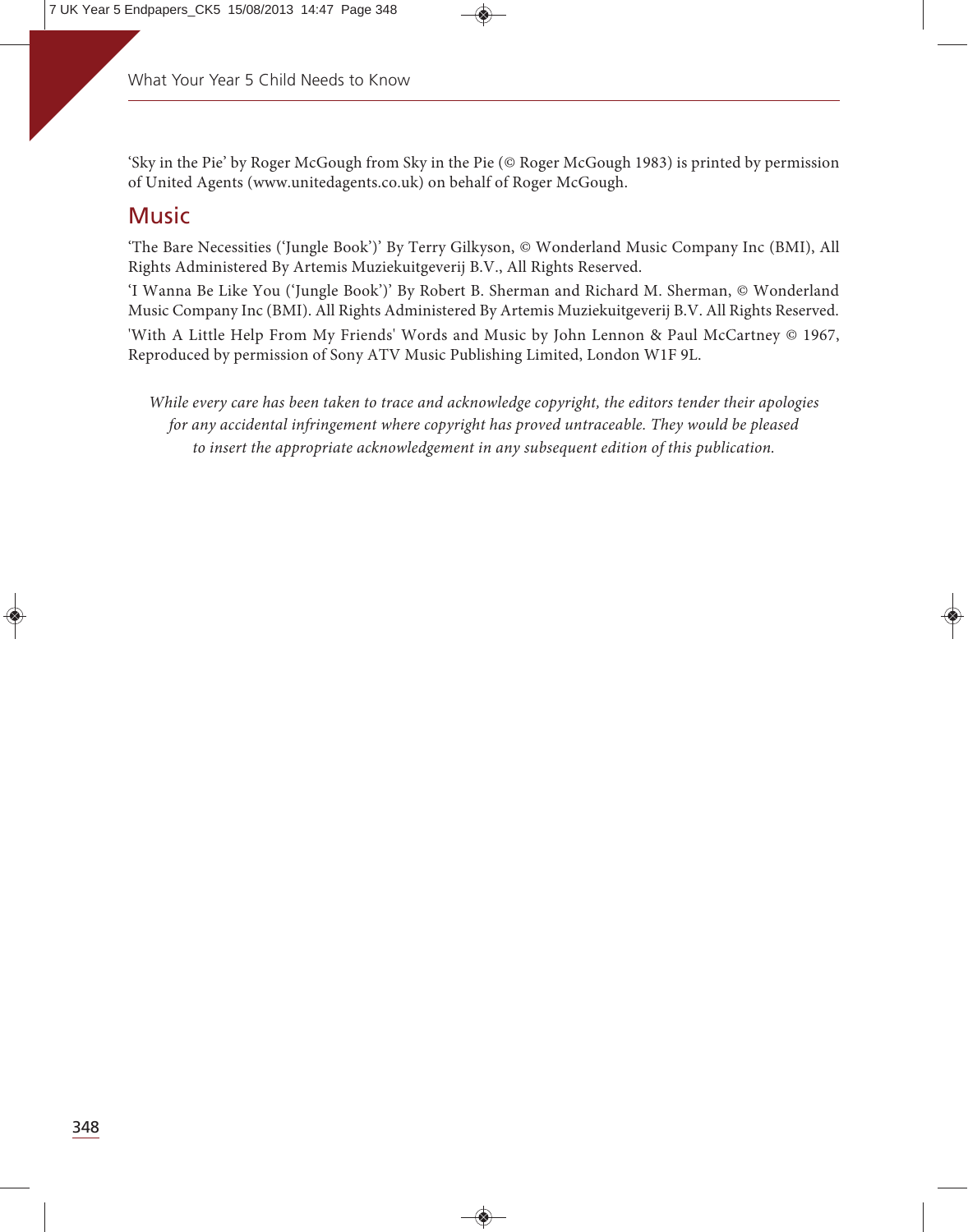'Sky in the Pie' by Roger McGough from Sky in the Pie (© Roger McGough 1983) is printed by permission of United Agents (www.unitedagents.co.uk) on behalf of Roger McGough.

#### **Music**

'The Bare Necessities ('Jungle Book')' By Terry Gilkyson, © Wonderland Music Company Inc (BMI), All Rights Administered By Artemis Muziekuitgeverij B.V., All Rights Reserved.

'I Wanna Be Like You ('Jungle Book')' By Robert B. Sherman and Richard M. Sherman, © Wonderland Music Company Inc (BMI). All Rights Administered By Artemis Muziekuitgeverij B.V. All Rights Reserved.

'With A Little Help From My Friends' Words and Music by John Lennon & Paul McCartney © 1967, Reproduced by permission of Sony ATV Music Publishing Limited, London W1F 9L.

*While every care has been taken to trace and acknowledge copyright, the editors tender their apologies*  for any accidental infringement where copyright has proved untraceable. They would be pleased *to insert the appropriate acknowledgement in any subsequent edition of this publication.*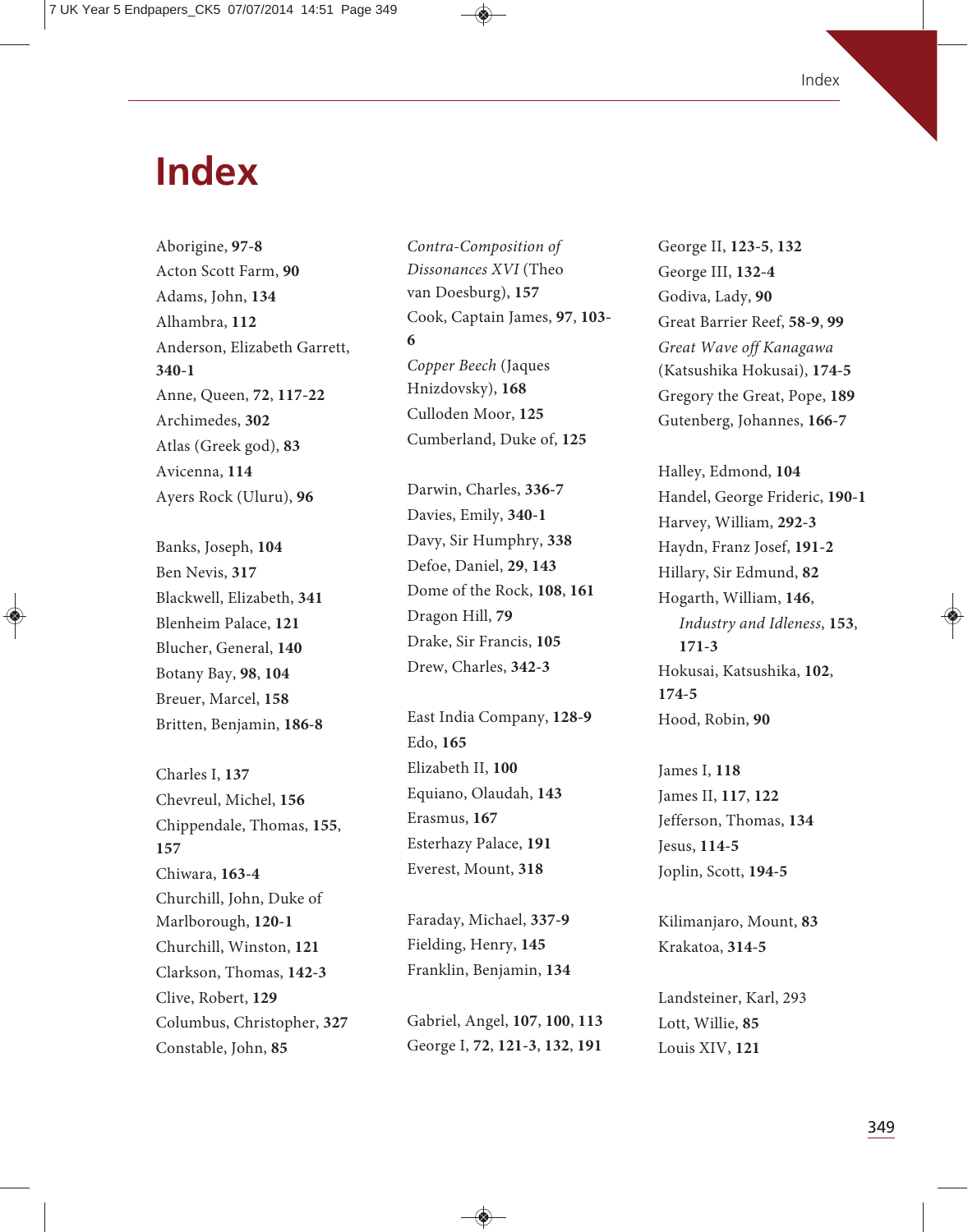### **Index**

Aborigine, **97-8** Acton Scott Farm, **90** Adams, John, **134** Alhambra, **112** Anderson, Elizabeth Garrett, **340-1** Anne, Queen, **72**, **117-22** Archimedes, **302** Atlas (Greek god), **83** Avicenna, **114** Ayers Rock (Uluru), **96**

Banks, Joseph, **104** Ben Nevis, **317** Blackwell, Elizabeth, **341** Blenheim Palace, **121** Blucher, General, **140** Botany Bay, **98**, **104** Breuer, Marcel, **158** Britten, Benjamin, **186-8**

Charles I, **137** Chevreul, Michel, **156** Chippendale, Thomas, **155**, **157** Chiwara, **163-4** Churchill, John, Duke of Marlborough, **120-1** Churchill, Winston, **121** Clarkson, Thomas, **142-3** Clive, Robert, **129** Columbus, Christopher, **327** Constable, John, **85**

*Contra-Composition of Dissonances XVI* (Theo van Doesburg), **157** Cook, Captain James, **97**, **103- 6** *Copper Beech* (Jaques Hnizdovsky), **168** Culloden Moor, **125** Cumberland, Duke of, **125**

Darwin, Charles, **336-7** Davies, Emily, **340-1** Davy, Sir Humphry, **338** Defoe, Daniel, **29**, **143** Dome of the Rock, **108**, **161** Dragon Hill, **79** Drake, Sir Francis, **105** Drew, Charles, **342-3**

East India Company, **128-9** Edo, **165** Elizabeth II, **100** Equiano, Olaudah, **143** Erasmus, **167** Esterhazy Palace, **191** Everest, Mount, **318**

Faraday, Michael, **337-9** Fielding, Henry, **145** Franklin, Benjamin, **134**

Gabriel, Angel, **107**, **100**, **113** George I, **72**, **121-3**, **132**, **191**

George II, **123-5**, **132** George III, **132-4** Godiva, Lady, **90** Great Barrier Reef, **58-9**, **99** *Great Wave off Kanagawa* (Katsushika Hokusai), **174-5** Gregory the Great, Pope, **189** Gutenberg, Johannes, **166-7**

Halley, Edmond, **104** Handel, George Frideric, **190-1** Harvey, William, **292-3** Haydn, Franz Josef, **191-2** Hillary, Sir Edmund, **82** Hogarth, William, **146**, *Industry and Idleness*, **153**, **171-3** Hokusai, Katsushika, **102**, **174-5** Hood, Robin, **90**

James I, **118** James II, **117**, **122** Jefferson, Thomas, **134** Jesus, **114-5** Joplin, Scott, **194-5**

Kilimanjaro, Mount, **83** Krakatoa, **314-5**

Landsteiner, Karl, 293 Lott, Willie, **85** Louis XIV, **121**